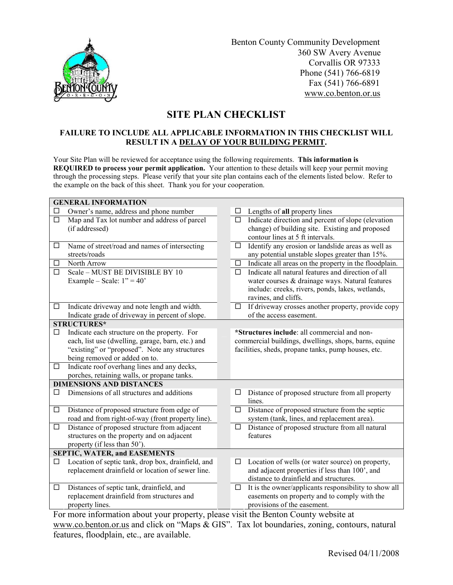

 Benton County Community Development 360 SW Avery Avenue Corvallis OR 97333 Phone (541) 766-6819 Fax (541) 766-6891 www.co.benton.or.us

## SITE PLAN CHECKLIST

## FAILURE TO INCLUDE ALL APPLICABLE INFORMATION IN THIS CHECKLIST WILL RESULT IN A DELAY OF YOUR BUILDING PERMIT.

Your Site Plan will be reviewed for acceptance using the following requirements. This information is REQUIRED to process your permit application. Your attention to these details will keep your permit moving through the processing steps. Please verify that your site plan contains each of the elements listed below. Refer to the example on the back of this sheet. Thank you for your cooperation.

| <b>GENERAL INFORMATION</b>          |                                                    |  |                                                                 |
|-------------------------------------|----------------------------------------------------|--|-----------------------------------------------------------------|
|                                     | Owner's name, address and phone number             |  | Lengths of all property lines                                   |
| □                                   | Map and Tax lot number and address of parcel       |  | Indicate direction and percent of slope (elevation<br>□         |
|                                     | (if addressed)                                     |  | change) of building site. Existing and proposed                 |
|                                     |                                                    |  | contour lines at 5 ft intervals.                                |
| $\Box$                              | Name of street/road and names of intersecting      |  | Identify any erosion or landslide areas as well as<br>□         |
|                                     | streets/roads                                      |  | any potential unstable slopes greater than 15%.                 |
| □                                   | North Arrow                                        |  | Indicate all areas on the property in the floodplain.<br>$\Box$ |
| $\Box$                              | Scale - MUST BE DIVISIBLE BY 10                    |  | Indicate all natural features and direction of all<br>$\Box$    |
|                                     | Example – Scale: $1" = 40"$                        |  | water courses & drainage ways. Natural features                 |
|                                     |                                                    |  | include: creeks, rivers, ponds, lakes, wetlands,                |
|                                     |                                                    |  | ravines, and cliffs.                                            |
| $\Box$                              | Indicate driveway and note length and width.       |  | If driveway crosses another property, provide copy<br>⊔         |
|                                     | Indicate grade of driveway in percent of slope.    |  | of the access easement.                                         |
| <b>STRUCTURES*</b>                  |                                                    |  |                                                                 |
| □                                   | Indicate each structure on the property. For       |  | *Structures include: all commercial and non-                    |
|                                     | each, list use (dwelling, garage, barn, etc.) and  |  | commercial buildings, dwellings, shops, barns, equine           |
|                                     | "existing" or "proposed". Note any structures      |  | facilities, sheds, propane tanks, pump houses, etc.             |
|                                     | being removed or added on to.                      |  |                                                                 |
| $\Box$                              | Indicate roof overhang lines and any decks,        |  |                                                                 |
|                                     | porches, retaining walls, or propane tanks.        |  |                                                                 |
| <b>DIMENSIONS AND DISTANCES</b>     |                                                    |  |                                                                 |
| П                                   | Dimensions of all structures and additions         |  | Distance of proposed structure from all property                |
|                                     |                                                    |  | lines.                                                          |
| $\Box$                              | Distance of proposed structure from edge of        |  | Distance of proposed structure from the septic<br>$\Box$        |
|                                     | road and from right-of-way (front property line).  |  | system (tank, lines, and replacement area).                     |
| $\Box$                              | Distance of proposed structure from adjacent       |  | Distance of proposed structure from all natural<br>$\Box$       |
|                                     | structures on the property and on adjacent         |  | features                                                        |
|                                     | property (if less than 50').                       |  |                                                                 |
| <b>SEPTIC, WATER, and EASEMENTS</b> |                                                    |  |                                                                 |
| □                                   | Location of septic tank, drop box, drainfield, and |  | Location of wells (or water source) on property,<br>□           |
|                                     | replacement drainfield or location of sewer line.  |  | and adjacent properties if less than 100', and                  |
|                                     |                                                    |  | distance to drainfield and structures.                          |
| □                                   | Distances of septic tank, drainfield, and          |  | It is the owner/applicants responsibility to show all<br>⊔      |
|                                     | replacement drainfield from structures and         |  | easements on property and to comply with the                    |
|                                     | property lines.                                    |  | provisions of the easement.                                     |

For more information about your property, please visit the Benton County website at www.co.benton.or.us and click on "Maps & GIS". Tax lot boundaries, zoning, contours, natural features, floodplain, etc., are available.